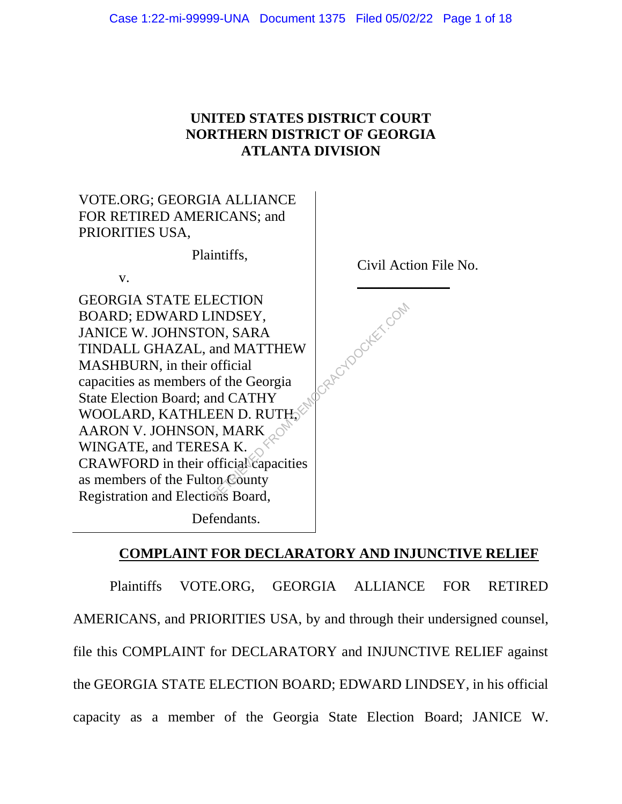## **UNITED STATES DISTRICT COURT NORTHERN DISTRICT OF GEORGIA ATLANTA DIVISION**



# **COMPLAINT FOR DECLARATORY AND INJUNCTIVE RELIEF**

Plaintiffs VOTE.ORG, GEORGIA ALLIANCE FOR RETIRED AMERICANS, and PRIORITIES USA, by and through their undersigned counsel, file this COMPLAINT for DECLARATORY and INJUNCTIVE RELIEF against the GEORGIA STATE ELECTION BOARD; EDWARD LINDSEY, in his official capacity as a member of the Georgia State Election Board; JANICE W.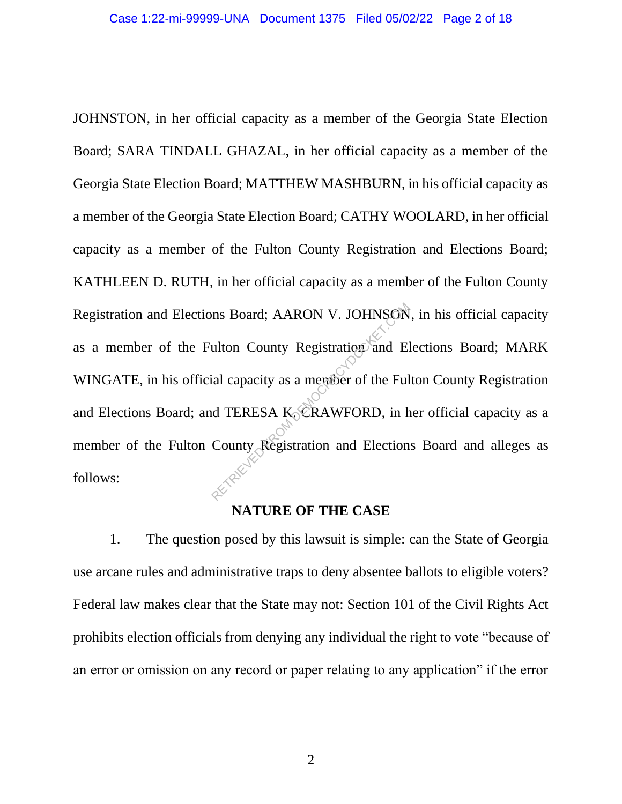JOHNSTON, in her official capacity as a member of the Georgia State Election Board; SARA TINDALL GHAZAL, in her official capacity as a member of the Georgia State Election Board; MATTHEW MASHBURN, in his official capacity as a member of the Georgia State Election Board; CATHY WOOLARD, in her official capacity as a member of the Fulton County Registration and Elections Board; KATHLEEN D. RUTH, in her official capacity as a member of the Fulton County Registration and Elections Board; AARON V. JOHNSON, in his official capacity as a member of the Fulton County Registration and Elections Board; MARK WINGATE, in his official capacity as a member of the Fulton County Registration and Elections Board; and TERESA K. CRAWFORD, in her official capacity as a member of the Fulton County Registration and Elections Board and alleges as follows: The Board; AARON V. JOHNSON<br>
ulton County Registration and El<br>
ial capacity as a member of the Ful<br>
d TERESA K. CRAWFORD, in h<br>
County Registration and Election

#### **NATURE OF THE CASE**

1. The question posed by this lawsuit is simple: can the State of Georgia use arcane rules and administrative traps to deny absentee ballots to eligible voters? Federal law makes clear that the State may not: Section 101 of the Civil Rights Act prohibits election officials from denying any individual the right to vote "because of an error or omission on any record or paper relating to any application" if the error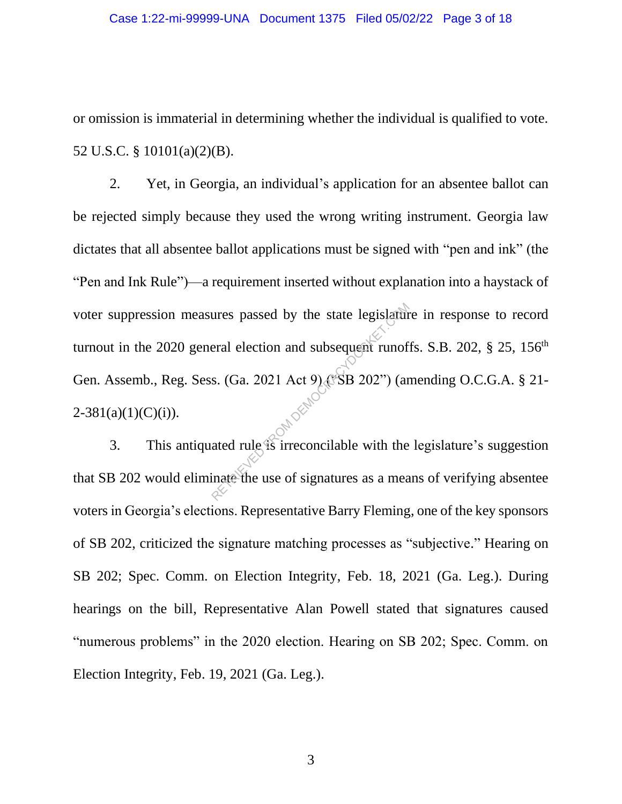or omission is immaterial in determining whether the individual is qualified to vote. 52 U.S.C. § 10101(a)(2)(B).

2. Yet, in Georgia, an individual's application for an absentee ballot can be rejected simply because they used the wrong writing instrument. Georgia law dictates that all absentee ballot applications must be signed with "pen and ink" (the "Pen and Ink Rule")—a requirement inserted without explanation into a haystack of voter suppression measures passed by the state legislature in response to record turnout in the 2020 general election and subsequent runoffs. S.B. 202,  $\S$  25, 156<sup>th</sup> Gen. Assemb., Reg. Sess. (Ga. 2021 Act 9) ("SB 202") (amending O.C.G.A. § 21-  $2-381(a)(1)(C)(i)$ . The state legislature and subsequent runof<br>
S. (Ga. 2021 Act 9) (SSB 202") (and<br>
ated rule is irreconcilable with the<br>
inate the use of signatures as a mea

3. This antiquated rule is irreconcilable with the legislature's suggestion that SB 202 would eliminate the use of signatures as a means of verifying absentee voters in Georgia's elections. Representative Barry Fleming, one of the key sponsors of SB 202, criticized the signature matching processes as "subjective." Hearing on SB 202; Spec. Comm. on Election Integrity, Feb. 18, 2021 (Ga. Leg.). During hearings on the bill, Representative Alan Powell stated that signatures caused "numerous problems" in the 2020 election. Hearing on SB 202; Spec. Comm. on Election Integrity, Feb. 19, 2021 (Ga. Leg.).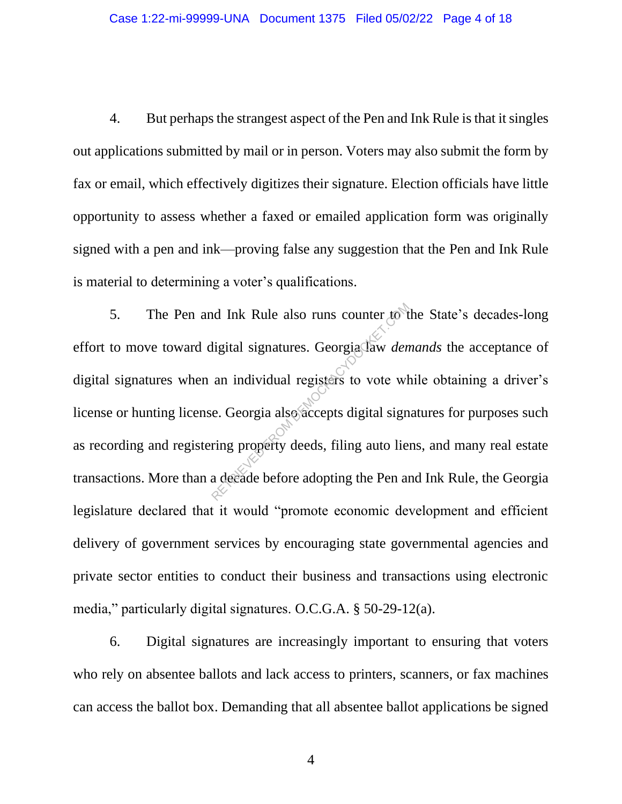4. But perhaps the strangest aspect of the Pen and Ink Rule is that it singles out applications submitted by mail or in person. Voters may also submit the form by fax or email, which effectively digitizes their signature. Election officials have little opportunity to assess whether a faxed or emailed application form was originally signed with a pen and ink—proving false any suggestion that the Pen and Ink Rule is material to determining a voter's qualifications.

5. The Pen and Ink Rule also runs counter to the State's decades-long effort to move toward digital signatures. Georgia law *demands* the acceptance of digital signatures when an individual registers to vote while obtaining a driver's license or hunting license. Georgia also accepts digital signatures for purposes such as recording and registering property deeds, filing auto liens, and many real estate transactions. More than a decade before adopting the Pen and Ink Rule, the Georgia legislature declared that it would "promote economic development and efficient delivery of government services by encouraging state governmental agencies and private sector entities to conduct their business and transactions using electronic media," particularly digital signatures. O.C.G.A. § 50-29-12(a). In the Rule also runs counter to the ligital signatures. Georgia daw *den*<br>an individual registers to vote where Contract explicit to vote where Contract explicit to vote where Contract explicit to the Contract explicit to

6. Digital signatures are increasingly important to ensuring that voters who rely on absentee ballots and lack access to printers, scanners, or fax machines can access the ballot box. Demanding that all absentee ballot applications be signed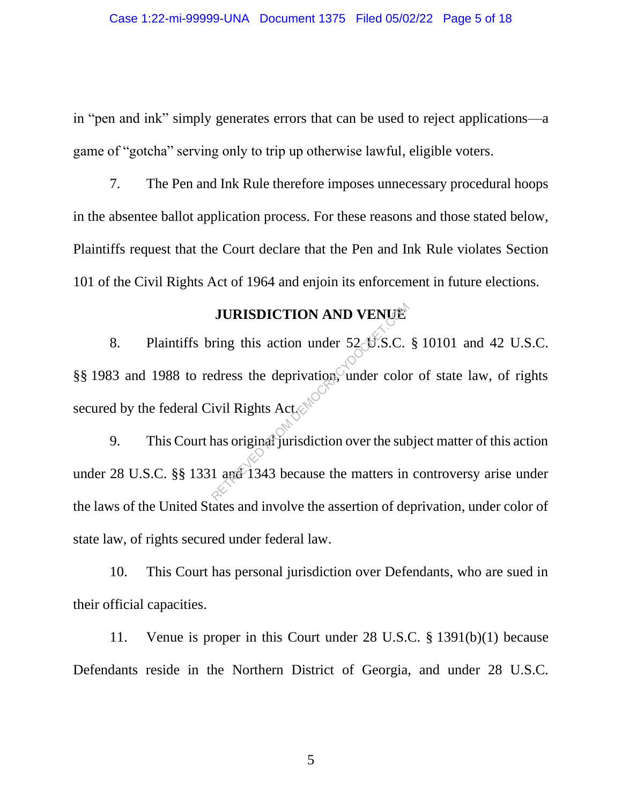in "pen and ink" simply generates errors that can be used to reject applications—a game of "gotcha" serving only to trip up otherwise lawful, eligible voters.

7. The Pen and Ink Rule therefore imposes unnecessary procedural hoops in the absentee ballot application process. For these reasons and those stated below, Plaintiffs request that the Court declare that the Pen and Ink Rule violates Section 101 of the Civil Rights Act of 1964 and enjoin its enforcement in future elections.

## **JURISDICTION AND VENUE**

8. Plaintiffs bring this action under 52 U.S.C. § 10101 and 42 U.S.C. §§ 1983 and 1988 to redress the deprivation, under color of state law, of rights secured by the federal Civil Rights Act. **JURISDICTION AND VENUE**<br>ring this action under 52 U.S.C.<br>edress the deprivation, under color<br>ivil Rights Act<br>solely unisdiction over the sub-<br>1 apa<sup>2</sup> 1343 because the matters in

9. This Court has original jurisdiction over the subject matter of this action under 28 U.S.C. §§ 1331 and 1343 because the matters in controversy arise under the laws of the United States and involve the assertion of deprivation, under color of state law, of rights secured under federal law.

10. This Court has personal jurisdiction over Defendants, who are sued in their official capacities.

11. Venue is proper in this Court under 28 U.S.C. § 1391(b)(1) because Defendants reside in the Northern District of Georgia, and under 28 U.S.C.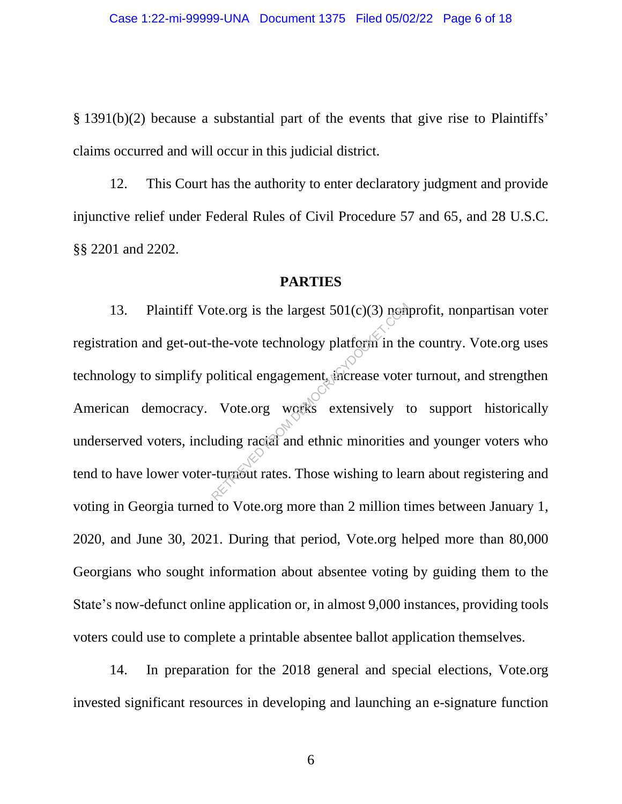§ 1391(b)(2) because a substantial part of the events that give rise to Plaintiffs' claims occurred and will occur in this judicial district.

12. This Court has the authority to enter declaratory judgment and provide injunctive relief under Federal Rules of Civil Procedure 57 and 65, and 28 U.S.C. §§ 2201 and 2202.

### **PARTIES**

13. Plaintiff Vote.org is the largest  $501(c)(3)$  nonpartisan voter registration and get-out-the-vote technology platform in the country. Vote.org uses technology to simplify political engagement, increase voter turnout, and strengthen American democracy. Vote.org works extensively to support historically underserved voters, including racial and ethnic minorities and younger voters who tend to have lower voter-turnout rates. Those wishing to learn about registering and voting in Georgia turned to Vote.org more than 2 million times between January 1, 2020, and June 30, 2021. During that period, Vote.org helped more than 80,000 Georgians who sought information about absentee voting by guiding them to the State's now-defunct online application or, in almost 9,000 instances, providing tools voters could use to complete a printable absentee ballot application themselves. The vote technology platform in the vote technology platform in the voltical engagement, increase voter<br>Vote org works extensively tuding racial and ethnic minorities

14. In preparation for the 2018 general and special elections, Vote.org invested significant resources in developing and launching an e-signature function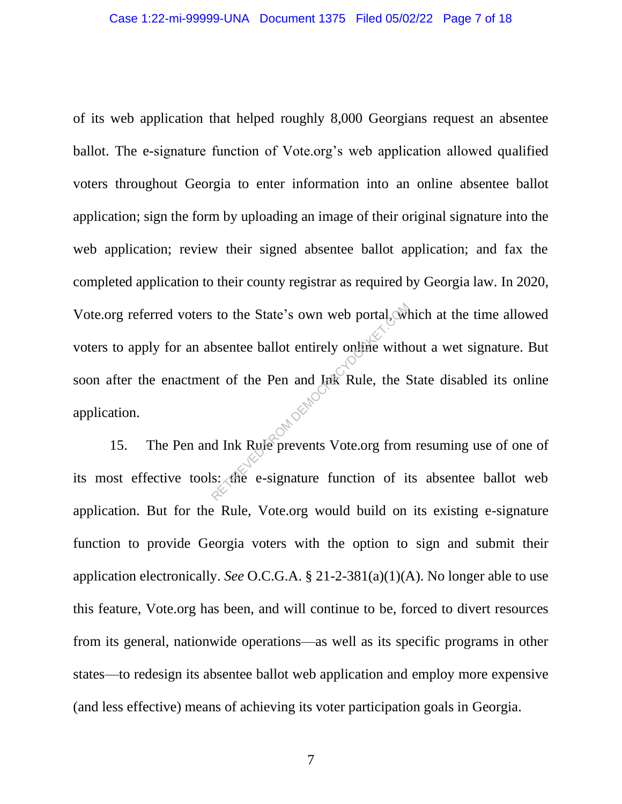of its web application that helped roughly 8,000 Georgians request an absentee ballot. The e-signature function of Vote.org's web application allowed qualified voters throughout Georgia to enter information into an online absentee ballot application; sign the form by uploading an image of their original signature into the web application; review their signed absentee ballot application; and fax the completed application to their county registrar as required by Georgia law. In 2020, Vote.org referred voters to the State's own web portal, which at the time allowed voters to apply for an absentee ballot entirely online without a wet signature. But soon after the enactment of the Pen and Ink Rule, the State disabled its online application. to the State's own web portal, wild<br>bsentee ballot entirely online with<br>the of the Pen and Luk Rule, the S<br>d Ink Rule prevents Vote.org from<br>s: the e-signature function of it

15. The Pen and Ink Rule prevents Vote.org from resuming use of one of its most effective tools: the e-signature function of its absentee ballot web application. But for the Rule, Vote.org would build on its existing e-signature function to provide Georgia voters with the option to sign and submit their application electronically. *See* O.C.G.A. § 21-2-381(a)(1)(A). No longer able to use this feature, Vote.org has been, and will continue to be, forced to divert resources from its general, nationwide operations—as well as its specific programs in other states—to redesign its absentee ballot web application and employ more expensive (and less effective) means of achieving its voter participation goals in Georgia.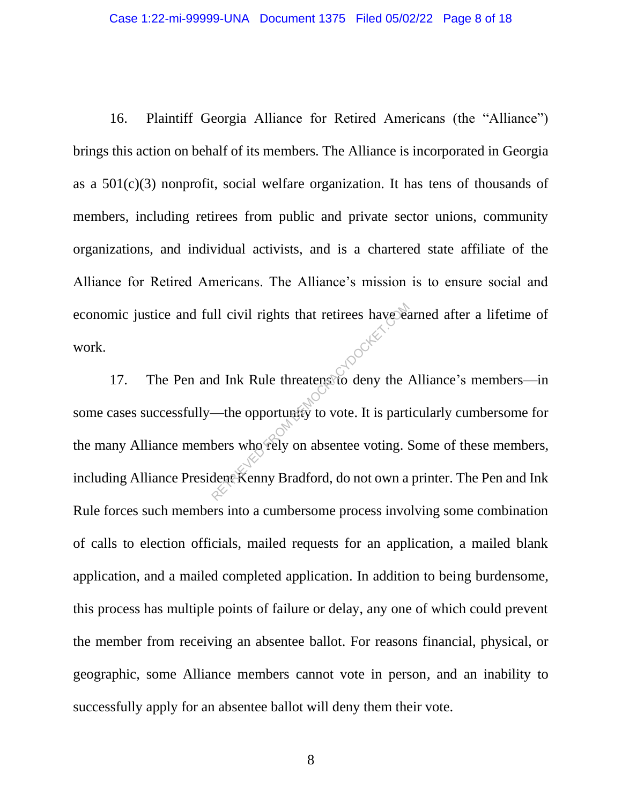16. Plaintiff Georgia Alliance for Retired Americans (the "Alliance") brings this action on behalf of its members. The Alliance is incorporated in Georgia as a 501(c)(3) nonprofit, social welfare organization. It has tens of thousands of members, including retirees from public and private sector unions, community organizations, and individual activists, and is a chartered state affiliate of the Alliance for Retired Americans. The Alliance's mission is to ensure social and economic justice and full civil rights that retirees have earned after a lifetime of work. work.

17. The Pen and Ink Rule threatens to deny the Alliance's members—in some cases successfully—the opportunity to vote. It is particularly cumbersome for the many Alliance members who rely on absentee voting. Some of these members, including Alliance President Kenny Bradford, do not own a printer. The Pen and Ink Rule forces such members into a cumbersome process involving some combination of calls to election officials, mailed requests for an application, a mailed blank application, and a mailed completed application. In addition to being burdensome, this process has multiple points of failure or delay, any one of which could prevent the member from receiving an absentee ballot. For reasons financial, physical, or geographic, some Alliance members cannot vote in person, and an inability to successfully apply for an absentee ballot will deny them their vote. All civil rights that retirees have been<br>
d Ink Rule threatens to deny the<br>
—the opportunity to vote. It is part<br>
bers who rely on absentee voting.<br>
dent Kenny Bradford, do not own a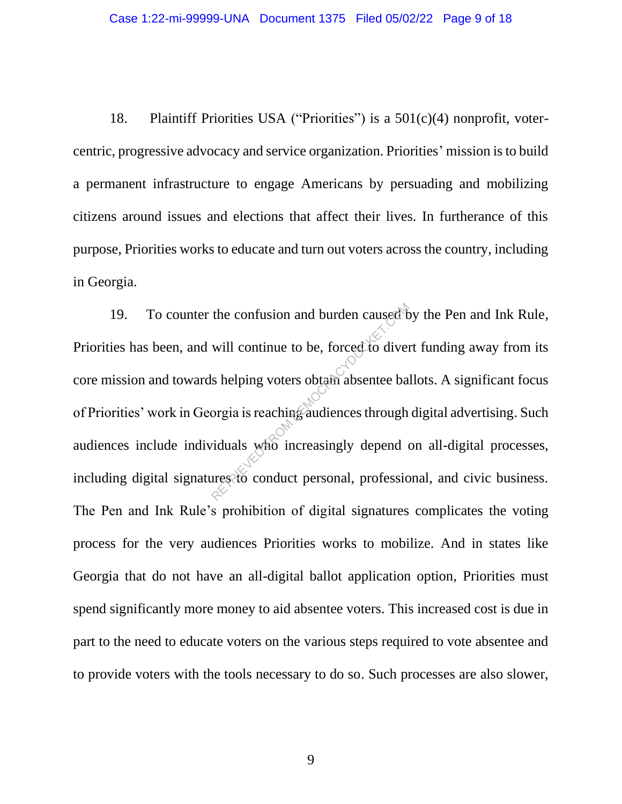18. Plaintiff Priorities USA ("Priorities") is a 501(c)(4) nonprofit, votercentric, progressive advocacy and service organization. Priorities' mission is to build a permanent infrastructure to engage Americans by persuading and mobilizing citizens around issues and elections that affect their lives. In furtherance of this purpose, Priorities works to educate and turn out voters across the country, including in Georgia.

19. To counter the confusion and burden caused by the Pen and Ink Rule, Priorities has been, and will continue to be, forced to divert funding away from its core mission and towards helping voters obtain absentee ballots. A significant focus of Priorities' work in Georgia is reaching audiences through digital advertising. Such audiences include individuals who increasingly depend on all-digital processes, including digital signatures to conduct personal, professional, and civic business. The Pen and Ink Rule's prohibition of digital signatures complicates the voting process for the very audiences Priorities works to mobilize. And in states like Georgia that do not have an all-digital ballot application option, Priorities must spend significantly more money to aid absentee voters. This increased cost is due in part to the need to educate voters on the various steps required to vote absentee and to provide voters with the tools necessary to do so. Such processes are also slower, the confusion and burden caused the will continue to be, forced to diver<br>
s helping voters obtain absentee ba<br>
orgia is reaching audiences through<br>
viduals who increasingly depend<br>
ures to conduct personal, professic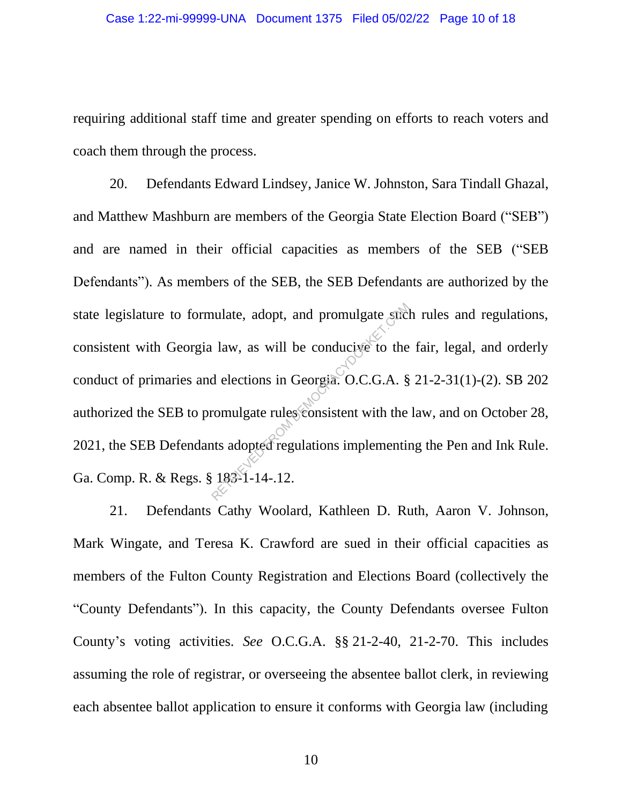requiring additional staff time and greater spending on efforts to reach voters and coach them through the process.

20. Defendants Edward Lindsey, Janice W. Johnston, Sara Tindall Ghazal, and Matthew Mashburn are members of the Georgia State Election Board ("SEB") and are named in their official capacities as members of the SEB ("SEB Defendants"). As members of the SEB, the SEB Defendants are authorized by the state legislature to formulate, adopt, and promulgate such rules and regulations, consistent with Georgia law, as will be conducive to the fair, legal, and orderly conduct of primaries and elections in Georgia. O.C.G.A. § 21-2-31(1)-(2). SB 202 authorized the SEB to promulgate rules consistent with the law, and on October 28, 2021, the SEB Defendants adopted regulations implementing the Pen and Ink Rule. Ga. Comp. R. & Regs. § 183-1-14-.12. nulate, adopt, and promulgate such a<br>law, as will be conducive to the<br>d elections in Georgia. O.C.G.A. §<br>romulgate rules consistent with the<br>nts adopted regulations implementin<br>183-1-14-.12.

21. Defendants Cathy Woolard, Kathleen D. Ruth, Aaron V. Johnson, Mark Wingate, and Teresa K. Crawford are sued in their official capacities as members of the Fulton County Registration and Elections Board (collectively the "County Defendants"). In this capacity, the County Defendants oversee Fulton County's voting activities. *See* O.C.G.A. §§ 21-2-40, 21-2-70. This includes assuming the role of registrar, or overseeing the absentee ballot clerk, in reviewing each absentee ballot application to ensure it conforms with Georgia law (including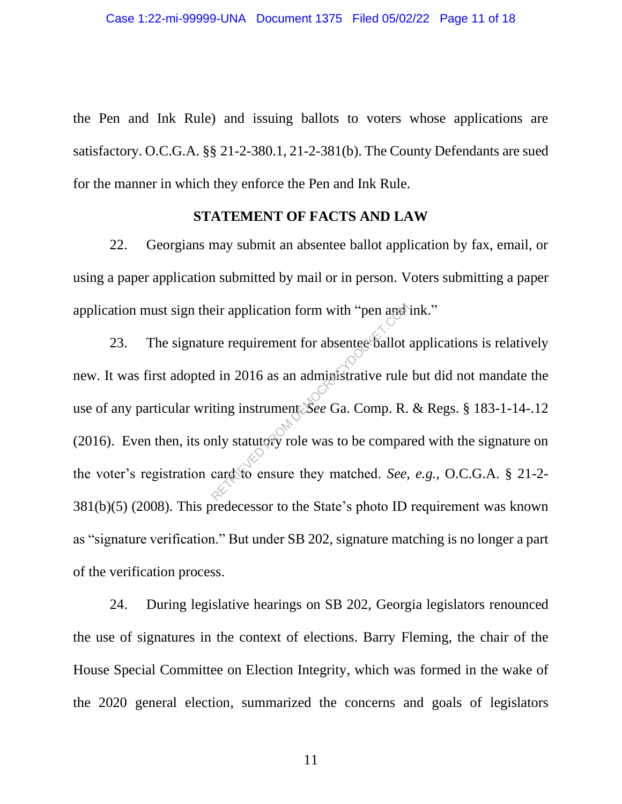the Pen and Ink Rule) and issuing ballots to voters whose applications are satisfactory. O.C.G.A. §§ 21-2-380.1, 21-2-381(b). The County Defendants are sued for the manner in which they enforce the Pen and Ink Rule.

#### **STATEMENT OF FACTS AND LAW**

22. Georgians may submit an absentee ballot application by fax, email, or using a paper application submitted by mail or in person. Voters submitting a paper application must sign their application form with "pen and ink."

23. The signature requirement for absentee ballot applications is relatively new. It was first adopted in 2016 as an administrative rule but did not mandate the use of any particular writing instrument. *See* Ga. Comp. R. & Regs. § 183-1-14-.12 (2016). Even then, its only statutory role was to be compared with the signature on the voter's registration card to ensure they matched. *See, e.g.,* O.C.G.A. § 21-2- 381(b)(5) (2008). This predecessor to the State's photo ID requirement was known as "signature verification." But under SB 202, signature matching is no longer a part of the verification process. eir application form with "pen and<br>the requirement for absented ballot<br>d in 2016 as an administrative rule<br>iting instrument See Ga. Comp. R.<br>nly statutory role was to be compared to ensure they matched. See,

24. During legislative hearings on SB 202, Georgia legislators renounced the use of signatures in the context of elections. Barry Fleming, the chair of the House Special Committee on Election Integrity, which was formed in the wake of the 2020 general election, summarized the concerns and goals of legislators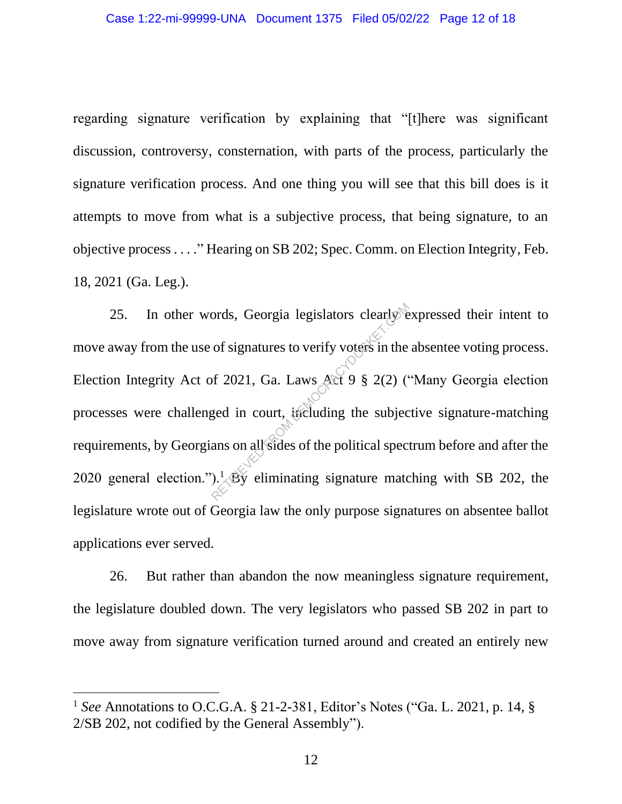regarding signature verification by explaining that "[t]here was significant discussion, controversy, consternation, with parts of the process, particularly the signature verification process. And one thing you will see that this bill does is it attempts to move from what is a subjective process, that being signature, to an objective process . . . ." Hearing on SB 202; Spec. Comm. on Election Integrity, Feb. 18, 2021 (Ga. Leg.).

25. In other words, Georgia legislators clearly expressed their intent to move away from the use of signatures to verify voters in the absentee voting process. Election Integrity Act of 2021, Ga. Laws Act 9 § 2(2) ("Many Georgia election processes were challenged in court, including the subjective signature-matching requirements, by Georgians on all sides of the political spectrum before and after the 2020 general election.").<sup>1</sup> By eliminating signature matching with SB 202, the legislature wrote out of Georgia law the only purpose signatures on absentee ballot applications ever served. ords, Georgia legislators clearly e<br>of signatures to verify voters in the<br>of 2021, Ga. Laws Act 9 § 2(2) (<br>ged in court, including the subjec<br>ans on all sides of the political spec<br>).<sup>1</sup> By eliminating signature mate

26. But rather than abandon the now meaningless signature requirement, the legislature doubled down. The very legislators who passed SB 202 in part to move away from signature verification turned around and created an entirely new

<sup>1</sup> *See* Annotations to O.C.G.A. § 21-2-381, Editor's Notes ("Ga. L. 2021, p. 14, § 2/SB 202, not codified by the General Assembly").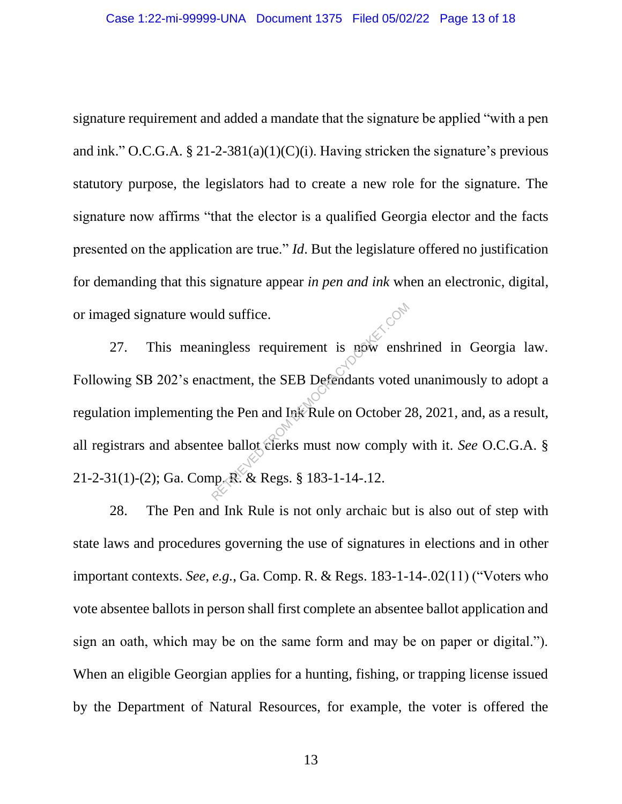signature requirement and added a mandate that the signature be applied "with a pen and ink." O.C.G.A.  $\S 21-2-381(a)(1)(C)(i)$ . Having stricken the signature's previous statutory purpose, the legislators had to create a new role for the signature. The signature now affirms "that the elector is a qualified Georgia elector and the facts presented on the application are true." *Id*. But the legislature offered no justification for demanding that this signature appear *in pen and ink* when an electronic, digital, or imaged signature would suffice.

27. This meaningless requirement is now enshrined in Georgia law. Following SB 202's enactment, the SEB Defendants voted unanimously to adopt a regulation implementing the Pen and Ink Rule on October 28, 2021, and, as a result, all registrars and absentee ballot clerks must now comply with it. *See* O.C.G.A. § 21-2-31(1)-(2); Ga. Comp. R. & Regs. § 183-1-14-.12. ingless requirement is now ensh<br>ctment, the SEB Defendants voted<br>the Pen and Ink Rule on October 2<br>ee ballot clerks must now comply<br>up, R. & Regs. § 183-1-14-.12.

28. The Pen and Ink Rule is not only archaic but is also out of step with state laws and procedures governing the use of signatures in elections and in other important contexts. *See*, *e.g.*, Ga. Comp. R. & Regs. 183-1-14-.02(11) ("Voters who vote absentee ballots in person shall first complete an absentee ballot application and sign an oath, which may be on the same form and may be on paper or digital."). When an eligible Georgian applies for a hunting, fishing, or trapping license issued by the Department of Natural Resources, for example, the voter is offered the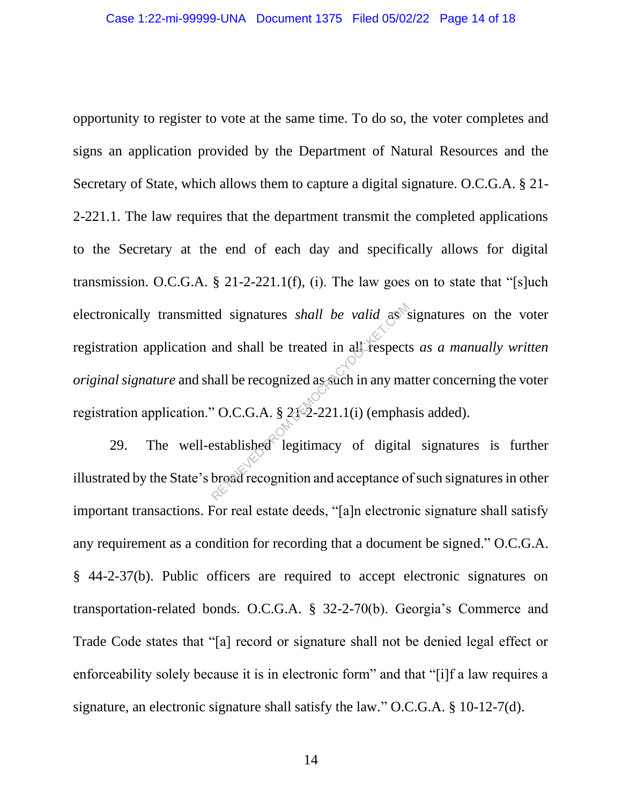opportunity to register to vote at the same time. To do so, the voter completes and signs an application provided by the Department of Natural Resources and the Secretary of State, which allows them to capture a digital signature. O.C.G.A. § 21- 2-221.1. The law requires that the department transmit the completed applications to the Secretary at the end of each day and specifically allows for digital transmission. O.C.G.A.  $\S$  21-2-221.1(f), (i). The law goes on to state that "[s]uch electronically transmitted signatures *shall be valid* as signatures on the voter registration application and shall be treated in all respects *as a manually written original signature* and shall be recognized as such in any matter concerning the voter registration application." O.C.G.A. § 21-2-221.1(i) (emphasis added). ed signatures *shall be valid* as said and shall be treated in all respects and shall be recognized as such in any map.<br>
COC.COM SUSES 212-221.1(i) (emphated broad recognition and acceptance of digital

29. The well-established legitimacy of digital signatures is further illustrated by the State's broad recognition and acceptance of such signatures in other important transactions. For real estate deeds, "[a]n electronic signature shall satisfy any requirement as a condition for recording that a document be signed." O.C.G.A. § 44-2-37(b). Public officers are required to accept electronic signatures on transportation-related bonds. O.C.G.A. § 32-2-70(b). Georgia's Commerce and Trade Code states that "[a] record or signature shall not be denied legal effect or enforceability solely because it is in electronic form" and that "[i]f a law requires a signature, an electronic signature shall satisfy the law." O.C.G.A. § 10-12-7(d).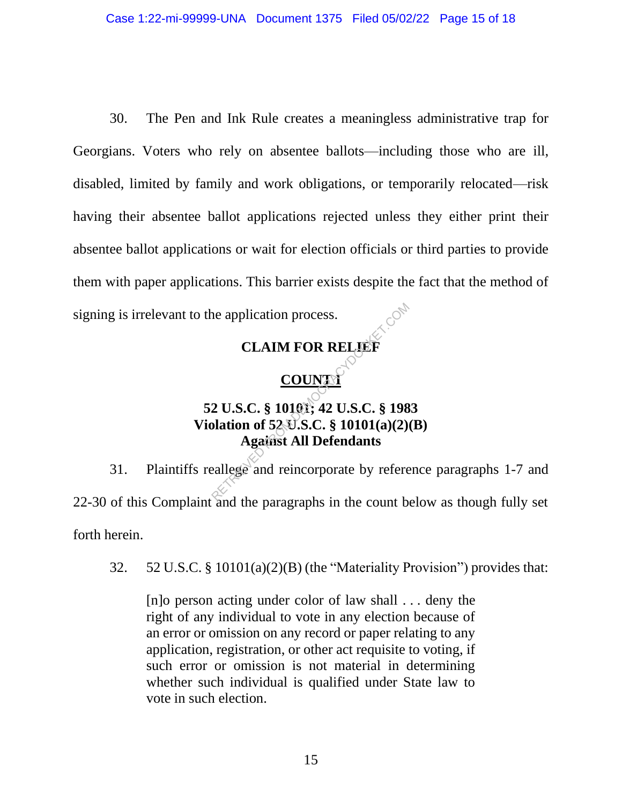30. The Pen and Ink Rule creates a meaningless administrative trap for Georgians. Voters who rely on absentee ballots—including those who are ill, disabled, limited by family and work obligations, or temporarily relocated—risk having their absentee ballot applications rejected unless they either print their absentee ballot applications or wait for election officials or third parties to provide them with paper applications. This barrier exists despite the fact that the method of signing is irrelevant to the application process.

## **CLAIM FOR RELIEF**

## **COUNT1**

# **52 U.S.C. § 10101; 42 U.S.C. § 1983 Violation of 52 U.S.C. § 10101(a)(2)(B) Against All Defendants** RETRIET<br>CLAIM FOR RELIEF<br>COUNTY<br>2 U.S.C. § 10101; 42 U.S.C. § 198<br>Dation of 52 U.S.C. § 10101(a)(2)<br>Against All Defendants<br>eallege and reincorporate by refere

31. Plaintiffs reallege and reincorporate by reference paragraphs 1-7 and 22-30 of this Complaint and the paragraphs in the count below as though fully set forth herein.

32. 52 U.S.C. § 10101(a)(2)(B) (the "Materiality Provision") provides that:

[n]o person acting under color of law shall . . . deny the right of any individual to vote in any election because of an error or omission on any record or paper relating to any application, registration, or other act requisite to voting, if such error or omission is not material in determining whether such individual is qualified under State law to vote in such election.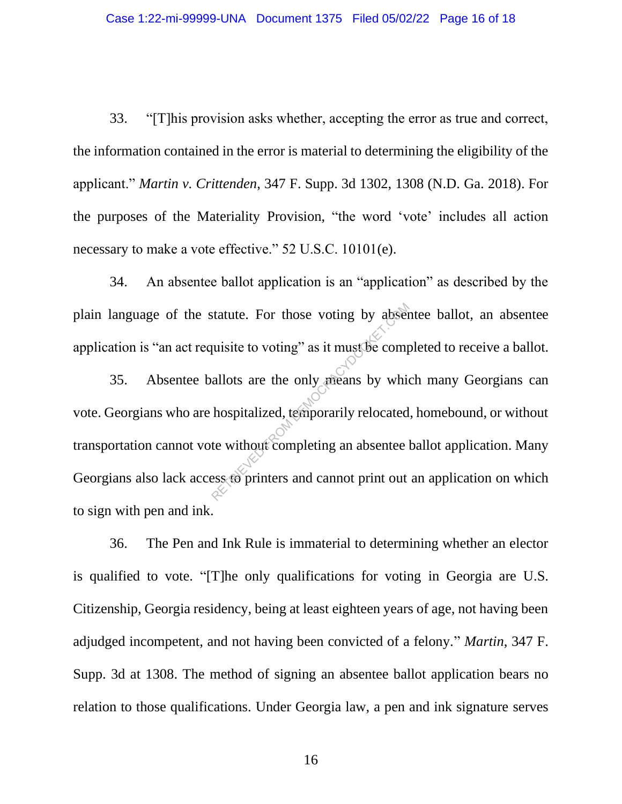33. "[T]his provision asks whether, accepting the error as true and correct, the information contained in the error is material to determining the eligibility of the applicant." *Martin v. Crittenden*, 347 F. Supp. 3d 1302, 1308 (N.D. Ga. 2018). For the purposes of the Materiality Provision, "the word 'vote' includes all action necessary to make a vote effective." 52 U.S.C. 10101(e).

34. An absentee ballot application is an "application" as described by the plain language of the statute. For those voting by absentee ballot, an absentee application is "an act requisite to voting" as it must be completed to receive a ballot.

35. Absentee ballots are the only means by which many Georgians can vote. Georgians who are hospitalized, temporarily relocated, homebound, or without transportation cannot vote without completing an absentee ballot application. Many Georgians also lack access to printers and cannot print out an application on which to sign with pen and ink. statute. For those voting by abset<br>quisite to voting" as it must be comp<br>allots are the only means by which<br>hospitalized, temporarily relocated<br>te without completing an absentee less to printers and cannot print out

36. The Pen and Ink Rule is immaterial to determining whether an elector is qualified to vote. "[T]he only qualifications for voting in Georgia are U.S. Citizenship, Georgia residency, being at least eighteen years of age, not having been adjudged incompetent, and not having been convicted of a felony." *Martin*, 347 F. Supp. 3d at 1308. The method of signing an absentee ballot application bears no relation to those qualifications. Under Georgia law, a pen and ink signature serves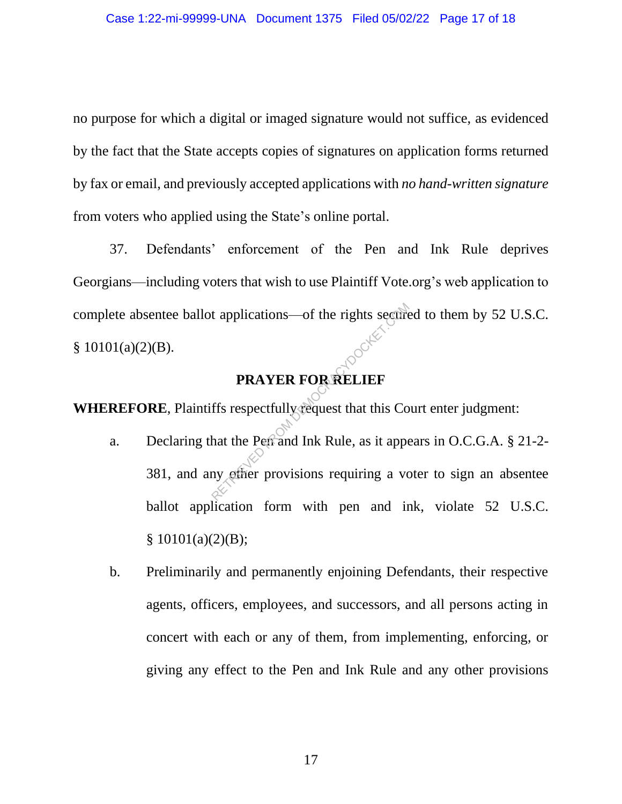no purpose for which a digital or imaged signature would not suffice, as evidenced by the fact that the State accepts copies of signatures on application forms returned by fax or email, and previously accepted applications with *no hand-written signature* from voters who applied using the State's online portal.

37. Defendants' enforcement of the Pen and Ink Rule deprives Georgians—including voters that wish to use Plaintiff Vote.org's web application to complete absentee ballot applications—of the rights secured to them by 52 U.S.C.  $$10101(a)(2)(B).$ 

## **PRAYER FOR RELIEF**

**WHEREFORE**, Plaintiffs respectfully request that this Court enter judgment:

- a. Declaring that the Pen and Ink Rule, as it appears in O.C.G.A.  $\S 21-2$ -381, and any other provisions requiring a voter to sign an absentee ballot application form with pen and ink, violate 52 U.S.C.  $§ 10101(a)(2)(B);$ t applications—of the rights secure<br> **PRAYER FOR RELIEF**<br>
ffs respectfully request that this Co<br>
hat the Pen and Ink Rule, as it apper<br>
my other provisions requiring a vo
- b. Preliminarily and permanently enjoining Defendants, their respective agents, officers, employees, and successors, and all persons acting in concert with each or any of them, from implementing, enforcing, or giving any effect to the Pen and Ink Rule and any other provisions